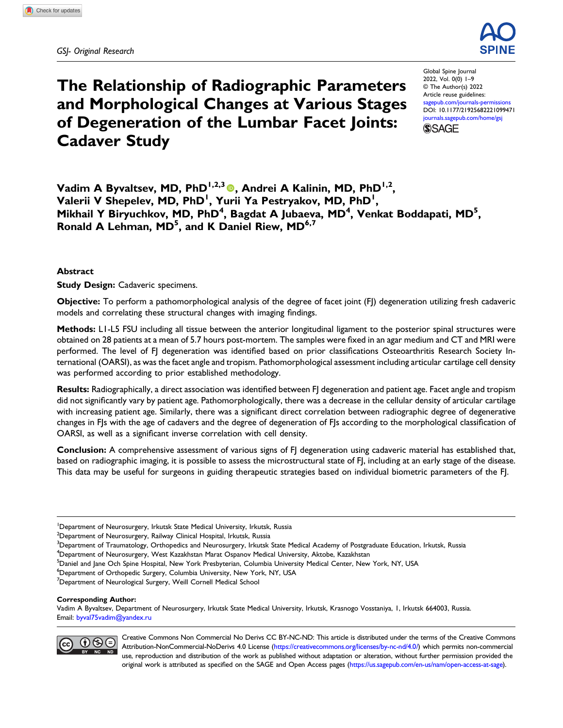

# The Relationship of Radiographic Parameters and Morphological Changes at Various Stages of Degeneration of the Lumbar Facet Joints: Cadaver Study

Global Spine Journal 2022, Vol. 0(0) 1–9 © The Author(s) 2022 Article reuse guidelines: [sagepub.com/journals-permissions](https://us.sagepub.com/en-us/journals-permissions) DOI: [10.1177/21925682221099471](https://doi.org/10.1177/21925682221099471) [journals.sagepub.com/home/gsj](https://journals.sagepub.com/home/gsj) **SSAGE** 

Vadim A Byvaltsev, MD, PhD<sup>1,2,3</sup><sup>0</sup>, Andrei A Kalinin, MD, PhD<sup>1,2</sup>, Valerii V Shepelev, MD, PhD<sup>1</sup>, Yurii Ya Pestryakov, MD, PhD<sup>1</sup>, Mikhail Y Biryuchkov, MD, PhD<sup>4</sup>, Bagdat A Jubaeva, MD<sup>4</sup>, Venkat Boddapati, MD<sup>5</sup>, Ronald A Lehman, MD<sup>5</sup>, and K Daniel Riew, MD<sup>6,7</sup>

## Abstract

**Study Design: Cadaveric specimens.** 

Objective: To perform a pathomorphological analysis of the degree of facet joint (FJ) degeneration utilizing fresh cadaveric models and correlating these structural changes with imaging findings.

Methods: L1-L5 FSU including all tissue between the anterior longitudinal ligament to the posterior spinal structures were obtained on 28 patients at a mean of 5.7 hours post-mortem. The samples were fixed in an agar medium and CT and MRI were performed. The level of FJ degeneration was identified based on prior classifications Osteoarthritis Research Society International (OARSI), as was the facet angle and tropism. Pathomorphological assessment including articular cartilage cell density was performed according to prior established methodology.

Results: Radiographically, a direct association was identified between FJ degeneration and patient age. Facet angle and tropism did not significantly vary by patient age. Pathomorphologically, there was a decrease in the cellular density of articular cartilage with increasing patient age. Similarly, there was a significant direct correlation between radiographic degree of degenerative changes in FJs with the age of cadavers and the degree of degeneration of FJs according to the morphological classification of OARSI, as well as a significant inverse correlation with cell density.

Conclusion: A comprehensive assessment of various signs of FJ degeneration using cadaveric material has established that, based on radiographic imaging, it is possible to assess the microstructural state of FJ, including at an early stage of the disease. This data may be useful for surgeons in guiding therapeutic strategies based on individual biometric parameters of the FJ.

#### Corresponding Author:

Vadim A Byvaltsev, Department of Neurosurgery, Irkutsk State Medical University, Irkutsk, Krasnogo Vosstaniya, 1, Irkutsk 664003, Russia. Email: [byval75vadim@yandex.ru](mailto:byval75vadim@yandex.ru)



Creative Commons Non Commercial No Derivs CC BY-NC-ND: This article is distributed under the terms of the Creative Commons Attribution-NonCommercial-NoDerivs 4.0 License [\(https://creativecommons.org/licenses/by-nc-nd/4.0/\)](https://creativecommons.org/licenses/by-nc-nd/4.0/) which permits non-commercial use, reproduction and distribution of the work as published without adaptation or alteration, without further permission provided the original work is attributed as specified on the SAGE and Open Access pages [\(https://us.sagepub.com/en-us/nam/open-access-at-sage\)](https://us.sagepub.com/en-us/nam/open-access-at-sage).

<sup>&</sup>lt;sup>1</sup>Department of Neurosurgery, Irkutsk State Medical University, Irkutsk, Russia

 $^{2}$ Department of Neurosurgery, Railway Clinical Hospital, Irkutsk, Russia

<sup>&</sup>lt;sup>3</sup>Department of Traumatology, Orthopedics and Neurosurgery, Irkutsk State Medical Academy of Postgraduate Education, Irkutsk, Russia

<sup>4</sup> Department of Neurosurgery, West Kazakhstan Marat Ospanov Medical University, Aktobe, Kazakhstan

<sup>&</sup>lt;sup>5</sup>Daniel and Jane Och Spine Hospital, New York Presbyterian, Columbia University Medical Center, New York, NY, USA

<sup>6</sup> Department of Orthopedic Surgery, Columbia University, New York, NY, USA

<sup>&</sup>lt;sup>7</sup>Department of Neurological Surgery, Weill Cornell Medical School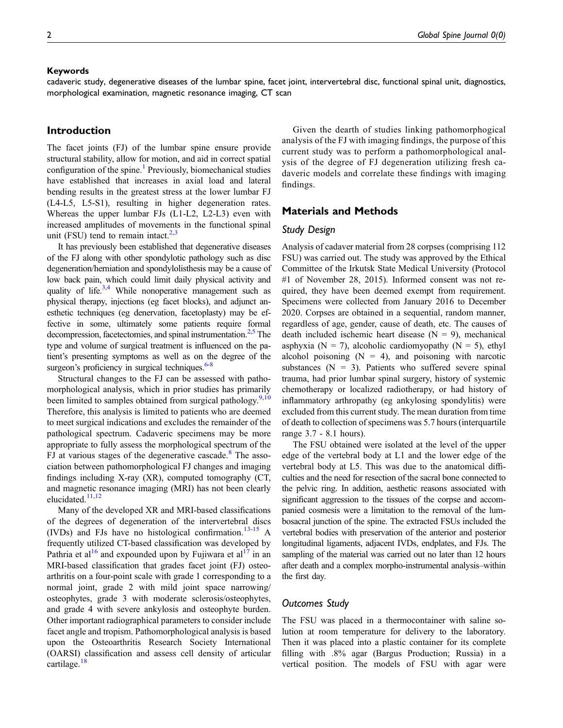#### Keywords

cadaveric study, degenerative diseases of the lumbar spine, facet joint, intervertebral disc, functional spinal unit, diagnostics, morphological examination, magnetic resonance imaging, CT scan

# Introduction

The facet joints (FJ) of the lumbar spine ensure provide structural stability, allow for motion, and aid in correct spatial configuration of the spine.<sup>[1](#page-7-0)</sup> Previously, biomechanical studies have established that increases in axial load and lateral bending results in the greatest stress at the lower lumbar FJ (L4-L5, L5-S1), resulting in higher degeneration rates. Whereas the upper lumbar FJs (L1-L2, L2-L3) even with increased amplitudes of movements in the functional spinal unit (FSU) tend to remain intact. $2,3$  $2,3$ 

It has previously been established that degenerative diseases of the FJ along with other spondylotic pathology such as disc degeneration/herniation and spondylolisthesis may be a cause of low back pain, which could limit daily physical activity and quality of life. $3,4$  $3,4$  While nonoperative management such as physical therapy, injections (eg facet blocks), and adjunct anesthetic techniques (eg denervation, facetoplasty) may be effective in some, ultimately some patients require formal decompression, facetectomies, and spinal instrumentation. $2.5$  The type and volume of surgical treatment is influenced on the patient's presenting symptoms as well as on the degree of the surgeon's proficiency in surgical techniques.<sup>6[-8](#page-7-6)</sup>

Structural changes to the FJ can be assessed with pathomorphological analysis, which in prior studies has primarily been limited to samples obtained from surgical pathology.<sup>[9](#page-7-7)[,10](#page-7-8)</sup> Therefore, this analysis is limited to patients who are deemed to meet surgical indications and excludes the remainder of the pathological spectrum. Cadaveric specimens may be more appropriate to fully assess the morphological spectrum of the FJ at various stages of the degenerative cascade.<sup>[8](#page-7-6)</sup> The association between pathomorphological FJ changes and imaging findings including X-ray (XR), computed tomography (CT, and magnetic resonance imaging (MRI) has not been clearly elucidated.<sup>[11](#page-7-9)[,12](#page-7-10)</sup>

Many of the developed XR and MRI-based classifications of the degrees of degeneration of the intervertebral discs (IVDs) and FJs have no histological confirmation.<sup>[13-](#page-7-11)[15](#page-8-0)</sup> A frequently utilized CT-based classification was developed by Pathria et al<sup>[16](#page-8-1)</sup> and expounded upon by Fujiwara et al<sup>17</sup> in an MRI-based classification that grades facet joint (FJ) osteoarthritis on a four-point scale with grade 1 corresponding to a normal joint, grade 2 with mild joint space narrowing/ osteophytes, grade 3 with moderate sclerosis/osteophytes, and grade 4 with severe ankylosis and osteophyte burden. Other important radiographical parameters to consider include facet angle and tropism. Pathomorphological analysis is based upon the Osteoarthritis Research Society International (OARSI) classification and assess cell density of articular cartilage.<sup>[18](#page-8-3)</sup>

Given the dearth of studies linking pathomorphogical analysis of the FJ with imaging findings, the purpose of this current study was to perform a pathomorphological analysis of the degree of FJ degeneration utilizing fresh cadaveric models and correlate these findings with imaging findings.

## Materials and Methods

#### Study Design

Analysis of cadaver material from 28 corpses (comprising 112 FSU) was carried out. The study was approved by the Ethical Committee of the Irkutsk State Medical University (Protocol #1 of November 28, 2015). Informed consent was not required, they have been deemed exempt from requirement. Specimens were collected from January 2016 to December 2020. Corpses are obtained in a sequential, random manner, regardless of age, gender, cause of death, etc. The causes of death included ischemic heart disease  $(N = 9)$ , mechanical asphyxia ( $N = 7$ ), alcoholic cardiomyopathy ( $N = 5$ ), ethyl alcohol poisoning  $(N = 4)$ , and poisoning with narcotic substances  $(N = 3)$ . Patients who suffered severe spinal trauma, had prior lumbar spinal surgery, history of systemic chemotherapy or localized radiotherapy, or had history of inflammatory arthropathy (eg ankylosing spondylitis) were excluded from this current study. The mean duration from time of death to collection of specimens was 5.7 hours (interquartile range 3.7 - 8.1 hours).

The FSU obtained were isolated at the level of the upper edge of the vertebral body at L1 and the lower edge of the vertebral body at L5. This was due to the anatomical difficulties and the need for resection of the sacral bone connected to the pelvic ring. In addition, aesthetic reasons associated with significant aggression to the tissues of the corpse and accompanied cosmesis were a limitation to the removal of the lumbosacral junction of the spine. The extracted FSUs included the vertebral bodies with preservation of the anterior and posterior longitudinal ligaments, adjacent IVDs, endplates, and FJs. The sampling of the material was carried out no later than 12 hours after death and a complex morpho-instrumental analysis–within the first day.

#### Outcomes Study

The FSU was placed in a thermocontainer with saline solution at room temperature for delivery to the laboratory. Then it was placed into a plastic container for its complete filling with .8% agar (Bargus Production; Russia) in a vertical position. The models of FSU with agar were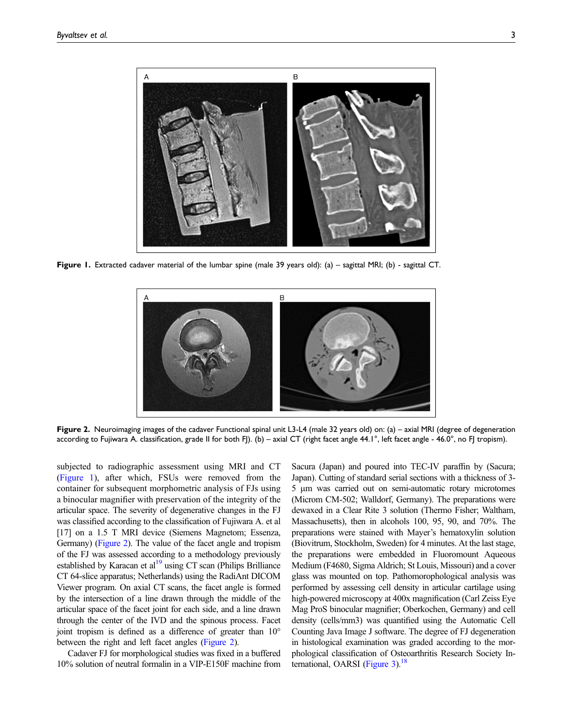

Figure 1. Extracted cadaver material of the lumbar spine (male 39 years old): (a) – sagittal MRI; (b) - sagittal CT.

<span id="page-2-0"></span>

<span id="page-2-1"></span>Figure 2. Neuroimaging images of the cadaver Functional spinal unit L3-L4 (male 32 years old) on: (a) – axial MRI (degree of degeneration according to Fujiwara A. classification, grade II for both FJ). (b) – axial CT (right facet angle 44.1°, left facet angle - 46.0°, no FJ tropism).

subjected to radiographic assessment using MRI and CT [\(Figure 1](#page-2-0)), after which, FSUs were removed from the container for subsequent morphometric analysis of FJs using a binocular magnifier with preservation of the integrity of the articular space. The severity of degenerative changes in the FJ was classified according to the classification of Fujiwara A. et al [17] on a 1.5 T MRI device (Siemens Magnetom; Essenza, Germany) [\(Figure 2\)](#page-2-1). The value of the facet angle and tropism of the FJ was assessed according to a methodology previously established by Karacan et  $al<sup>19</sup>$  using CT scan (Philips Brilliance CT 64-slice apparatus; Netherlands) using the RadiAnt DICOM Viewer program. On axial CT scans, the facet angle is formed by the intersection of a line drawn through the middle of the articular space of the facet joint for each side, and a line drawn through the center of the IVD and the spinous process. Facet joint tropism is defined as a difference of greater than 10° between the right and left facet angles [\(Figure 2\)](#page-2-1).

Cadaver FJ for morphological studies was fixed in a buffered 10% solution of neutral formalin in a VIP-E150F machine from Sacura (Japan) and poured into TEC-IV paraffin by (Sacura; Japan). Cutting of standard serial sections with a thickness of 3- 5 μm was carried out on semi-automatic rotary microtomes (Microm CM-502; Walldorf, Germany). The preparations were dewaxed in a Clear Rite 3 solution (Thermo Fisher; Waltham, Massachusetts), then in alcohols 100, 95, 90, and 70%. The preparations were stained with Mayer's hematoxylin solution (Biovitrum, Stockholm, Sweden) for 4 minutes. At the last stage, the preparations were embedded in Fluoromount Aqueous Medium (F4680, Sigma Aldrich; St Louis, Missouri) and a cover glass was mounted on top. Pathomorophological analysis was performed by assessing cell density in articular cartilage using high-powered microscopy at 400x magnification (Carl Zeiss Eye Mag ProS binocular magnifier; Oberkochen, Germany) and cell density (cells/mm3) was quantified using the Automatic Cell Counting Java Image J software. The degree of FJ degeneration in histological examination was graded according to the morphological classification of Osteoarthritis Research Society International, OARSI (Figure  $3$ ).<sup>18</sup>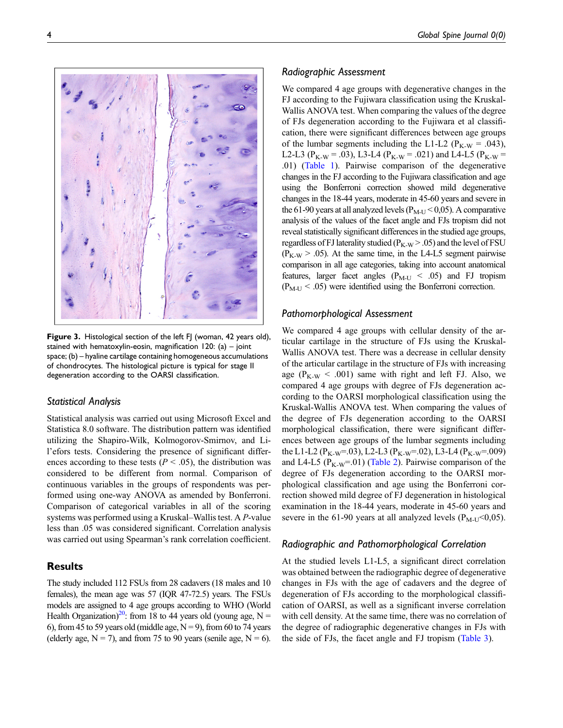

Figure 3. Histological section of the left FJ (woman, 42 years old), stained with hematoxylin-eosin, magnification  $120$ : (a) – joint space; (b) – hyaline cartilage containing homogeneous accumulations of chondrocytes. The histological picture is typical for stage II degeneration according to the OARSI classification.

#### <span id="page-3-0"></span>Statistical Analysis

Statistical analysis was carried out using Microsoft Excel and Statistica 8.0 software. The distribution pattern was identified utilizing the Shapiro-Wilk, Kolmogorov-Smirnov, and Lil'efors tests. Considering the presence of significant differences according to these tests ( $P < .05$ ), the distribution was considered to be different from normal. Comparison of continuous variables in the groups of respondents was performed using one-way ANOVA as amended by Bonferroni. Comparison of categorical variables in all of the scoring systems was performed using a Kruskal–Wallis test. A P-value less than .05 was considered significant. Correlation analysis was carried out using Spearman's rank correlation coefficient.

# **Results**

The study included 112 FSUs from 28 cadavers (18 males and 10 females), the mean age was 57 (IQR 47-72.5) years. The FSUs models are assigned to 4 age groups according to WHO (World Health Organization)<sup>20</sup>: from 18 to 44 years old (young age, N = 6), from 45 to 59 years old (middle age,  $N = 9$ ), from 60 to 74 years (elderly age,  $N = 7$ ), and from 75 to 90 years (senile age,  $N = 6$ ).

#### Radiographic Assessment

We compared 4 age groups with degenerative changes in the FJ according to the Fujiwara classification using the Kruskal-Wallis ANOVA test. When comparing the values of the degree of FJs degeneration according to the Fujiwara et al classification, there were significant differences between age groups of the lumbar segments including the L1-L2 ( $P_{K-W} = .043$ ), L2-L3 ( $P_{K-W}$  = .03), L3-L4 ( $P_{K-W}$  = .021) and L4-L5 ( $P_{K-W}$  = .01) [\(Table 1](#page-4-0)). Pairwise comparison of the degenerative changes in the FJ according to the Fujiwara classification and age using the Bonferroni correction showed mild degenerative changes in the 18-44 years, moderate in 45-60 years and severe in the 61-90 years at all analyzed levels ( $P_{\text{M-U}}$  < 0,05). A comparative analysis of the values of the facet angle and FJs tropism did not reveal statistically significant differences in the studied age groups, regardless of FJ laterality studied ( $P_{K-W}$  > .05) and the level of FSU  $(P_{K-W} > .05)$ . At the same time, in the L4-L5 segment pairwise comparison in all age categories, taking into account anatomical features, larger facet angles ( $P_{M-U}$  < .05) and FJ tropism  $(P_{M-U} < .05)$  were identified using the Bonferroni correction.

#### Pathomorphological Assessment

We compared 4 age groups with cellular density of the articular cartilage in the structure of FJs using the Kruskal-Wallis ANOVA test. There was a decrease in cellular density of the articular cartilage in the structure of FJs with increasing age ( $P_{K-W}$  < .001) same with right and left FJ. Also, we compared 4 age groups with degree of FJs degeneration according to the OARSI morphological classification using the Kruskal-Wallis ANOVA test. When comparing the values of the degree of FJs degeneration according to the OARSI morphological classification, there were significant differences between age groups of the lumbar segments including the L1-L2 ( $P_{K-W}$ =.03), L2-L3 ( $P_{K-W}$ =.02), L3-L4 ( $P_{K-W}$ =.009) and L4-L5 ( $P_{K-W}$ =01) ([Table 2\)](#page-5-0). Pairwise comparison of the degree of FJs degeneration according to the OARSI morphological classification and age using the Bonferroni correction showed mild degree of FJ degeneration in histological examination in the 18-44 years, moderate in 45-60 years and severe in the 61-90 years at all analyzed levels ( $P_{\text{M-U}}$  <0,05).

#### Radiographic and Pathomorphological Correlation

At the studied levels L1-L5, a significant direct correlation was obtained between the radiographic degree of degenerative changes in FJs with the age of cadavers and the degree of degeneration of FJs according to the morphological classification of OARSI, as well as a significant inverse correlation with cell density. At the same time, there was no correlation of the degree of radiographic degenerative changes in FJs with the side of FJs, the facet angle and FJ tropism [\(Table 3](#page-6-0)).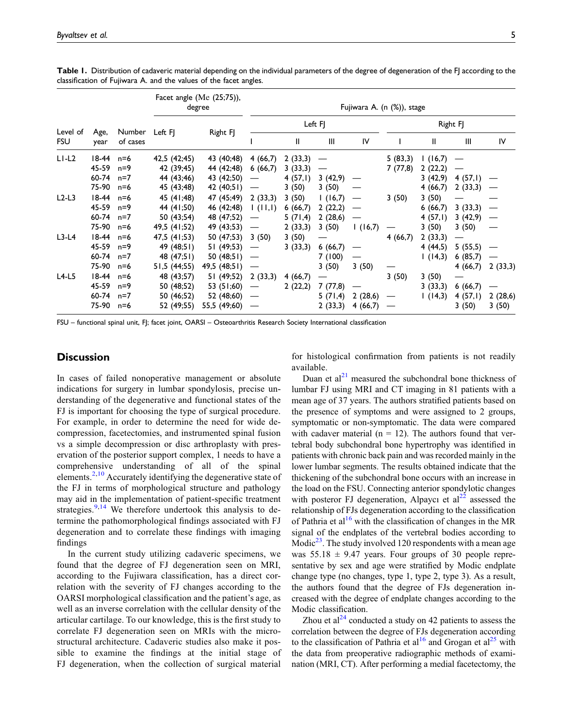Level of FSU Age, year Number of cases Facet angle (Me (25;75)),<br>degree Fujiwara A. (n (%)), stage Left FJ Right FJ Left FJ Right FJ Right FJ I II III IV I II III IV L1-L2 18-44 n=6 42,5 (42;45) 43 (40;48) 4 (66,7) 2 (33,3) — 5 (83,3) 1 (16,7) — 45-59 n=9 42 (39;45) 44 (42;48) 6 (66,7) 3 (33,3) — 7 (77,8) 2 (22,2) — 60-74 n=7 44 (43;46) 43 (42;50) — 4 (57,1) 3 (42,9) — 3 (42,9) 4 (57,1) — 75-90 n=6 45 (43;48) 42 (40;51) — 3 (50) 3 (50) — 4 (66,7) 2 (33,3) — L2-L3 18-44 n=6 45 (41;48) 47 (45;49) 2 (33,3) 3 (50) 1 (16,7) — 3 (50) 3 (50) — — 45-59 n=9 44 (41;50) 46 (42;48) 1 (11,1) 6 (66,7) 2 (22,2) — 6 (66,7) 3 (33,3) — 60-74 n=7 50 (43;54) 48 (47;52) — 5 (71,4) 2 (28,6) — 4 (57,1) 3 (42,9) — 75-90 n=6 49,5 (41;52) 49 (43;53) — 2 (33,3) 3 (50) 1 (16,7) — 3 (50) 3 (50) — L3-L4 18-44 n=6 47,5 (41;53) 50 (47;53) 3 (50) 3 (50) — 4 (66,7) 2 (33,3) — 45-59 n=9 49 (48;51) 51 (49;53) — 3 (33,3) 6 (66,7) — 4 (44,5) 5 (55,5) — 60-74 n=7 48 (47;51) 50 (48;51) — 7 (100) — 1 (14,3) 6 (85,7) — 75-90 n=6 51,5 (44;55) 49,5 (48;51) — 3 (50) 3 (50) — 4 (66,7) 2 (33,3) L4-L5 18-44 n=6 48 (43;57) 51 (49;52) 2 (33,3) 4 (66,7) — 3 (50) 3 (50) — 45-59 n=9 50 (48;52) 53 (51;60) — 2 (22,2) 7 (77,8) — 3 (33,3) 6 (66,7) — 60-74 n=7 50 (46;52) 52 (48;60) — 5 (71,4) 2 (28,6) — 1 (14,3) 4 (57,1) 2 (28,6) 75-90 n=6 52 (49;55) 55,5 (49;60) — 2 (33,3) 4 (66,7) — 3 (50) 3 (50)

Table 1. Distribution of cadaveric material depending on the individual parameters of the degree of degeneration of the FJ according to the classification of Fujiwara A. and the values of the facet angles.

<span id="page-4-0"></span>FSU – functional spinal unit, FJ; facet joint, OARSI – Osteoarthritis Research Society International classification

### **Discussion**

In cases of failed nonoperative management or absolute indications for surgery in lumbar spondylosis, precise understanding of the degenerative and functional states of the FJ is important for choosing the type of surgical procedure. For example, in order to determine the need for wide decompression, facetectomies, and instrumented spinal fusion vs a simple decompression or disc arthroplasty with preservation of the posterior support complex, 1 needs to have a comprehensive understanding of all of the spinal elements.<sup>[2](#page-7-1),[10](#page-7-8)</sup> Accurately identifying the degenerative state of the FJ in terms of morphological structure and pathology may aid in the implementation of patient-specific treatment strategies. $9,14$  $9,14$  We therefore undertook this analysis to determine the pathomorphological findings associated with FJ degeneration and to correlate these findings with imaging findings

In the current study utilizing cadaveric specimens, we found that the degree of FJ degeneration seen on MRI, according to the Fujiwara classification, has a direct correlation with the severity of FJ changes according to the OARSI morphological classification and the patient's age, as well as an inverse correlation with the cellular density of the articular cartilage. To our knowledge, this is the first study to correlate FJ degeneration seen on MRIs with the microstructural architecture. Cadaveric studies also make it possible to examine the findings at the initial stage of FJ degeneration, when the collection of surgical material

for histological confirmation from patients is not readily available.

Duan et  $al^{21}$  $al^{21}$  $al^{21}$  measured the subchondral bone thickness of lumbar FJ using MRI and CT imaging in 81 patients with a mean age of 37 years. The authors stratified patients based on the presence of symptoms and were assigned to 2 groups, symptomatic or non-symptomatic. The data were compared with cadaver material ( $n = 12$ ). The authors found that vertebral body subchondral bone hypertrophy was identified in patients with chronic back pain and was recorded mainly in the lower lumbar segments. The results obtained indicate that the thickening of the subchondral bone occurs with an increase in the load on the FSU. Connecting anterior spondylotic changes with posteror FJ degeneration, Alpaycı et  $al<sup>22</sup>$  $al<sup>22</sup>$  $al<sup>22</sup>$  assessed the relationship of FJs degeneration according to the classification of Pathria et al<sup>[16](#page-8-1)</sup> with the classification of changes in the MR signal of the endplates of the vertebral bodies according to Modic<sup>23</sup>. The study involved 120 respondents with a mean age was  $55.18 \pm 9.47$  years. Four groups of 30 people representative by sex and age were stratified by Modic endplate change type (no changes, type 1, type 2, type 3). As a result, the authors found that the degree of FJs degeneration increased with the degree of endplate changes according to the Modic classification.

Zhou et al<sup>[24](#page-8-10)</sup> conducted a study on 42 patients to assess the correlation between the degree of FJs degeneration according to the classification of Pathria et al<sup>[16](#page-8-1)</sup> and Grogan et al<sup>[25](#page-8-11)</sup> with the data from preoperative radiographic methods of examination (MRI, CT). After performing a medial facetectomy, the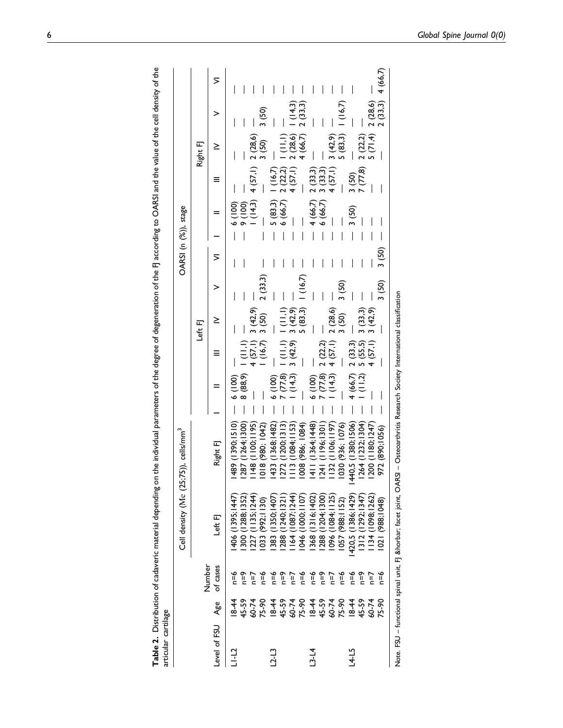|                     |                                                                                                                                                                                                                                |            | Cell density (Me (25;75)), cells/mm <sup>3</sup> |                                                                                                                                         |                                                                                                                                                                                              |         |  | OARSI (n (%)), stage |                                                                                                                                                                             |          |       |  |
|---------------------|--------------------------------------------------------------------------------------------------------------------------------------------------------------------------------------------------------------------------------|------------|--------------------------------------------------|-----------------------------------------------------------------------------------------------------------------------------------------|----------------------------------------------------------------------------------------------------------------------------------------------------------------------------------------------|---------|--|----------------------|-----------------------------------------------------------------------------------------------------------------------------------------------------------------------------|----------|-------|--|
|                     |                                                                                                                                                                                                                                | Number     |                                                  |                                                                                                                                         |                                                                                                                                                                                              | Left FJ |  |                      |                                                                                                                                                                             | Right FJ |       |  |
| Level of FSU<br>Age |                                                                                                                                                                                                                                | of cases   | Left FJ                                          | Right FJ                                                                                                                                |                                                                                                                                                                                              |         |  |                      |                                                                                                                                                                             |          |       |  |
| $-1 - 12$           |                                                                                                                                                                                                                                | è⊾         | 406 (1395; 1447)                                 | $\frac{1}{6}$ (1990; 1510)<br>1489 (1390; 1510) - 6 (100) -<br>1364; 1300) - 8 (88,9) 1 (11,1) - (42,9) -<br>1 (16,7) 3 (42,9) 2 (33,3) |                                                                                                                                                                                              |         |  |                      | - $\frac{6}{1}$ (100) -<br>- 9 (100) -<br>- 1 (14,3) 4 (57,1) 2 (28,6) -<br>- 3 (50) -                                                                                      |          |       |  |
|                     |                                                                                                                                                                                                                                | °≡ף        | 300 (1288; 1352)                                 |                                                                                                                                         |                                                                                                                                                                                              |         |  |                      |                                                                                                                                                                             |          |       |  |
|                     |                                                                                                                                                                                                                                | ∫=r        | (1135, 1244)                                     |                                                                                                                                         |                                                                                                                                                                                              |         |  |                      |                                                                                                                                                                             |          |       |  |
|                     | $18.59$ $7.59$ $8.59$ $1.59$ $1.59$ $1.59$ $1.59$ $1.59$ $1.59$ $1.59$ $1.59$ $1.59$ $1.59$ $1.59$ $1.59$ $1.59$ $1.59$ $1.59$ $1.59$ $1.59$ $1.59$ $1.59$ $1.59$ $1.59$ $1.59$ $1.59$ $1.59$ $1.59$ $1.59$ $1.59$ $1.59$ $1.$ | e≡         | 033 (992;1130)                                   |                                                                                                                                         |                                                                                                                                                                                              |         |  |                      |                                                                                                                                                                             |          | 3(50) |  |
| $-2 - 13$           |                                                                                                                                                                                                                                |            | 383 (1350;1407                                   |                                                                                                                                         | $\begin{array}{rcl}\n6 & (100) & - & (11,1) & (11,1) & - \\ - & 7 & (77.8) & 1 & (11,1) & 1 \\ - & 1 & (14,3) & 3 & (42,9) & 3 & (42,9) & - \\ & & - & 5 & (83,3) & 1 & (16,7)\n\end{array}$ |         |  |                      |                                                                                                                                                                             |          |       |  |
|                     |                                                                                                                                                                                                                                | n≡6<br>n=9 | 288 (1240;1321                                   | 272(1200; 1313)                                                                                                                         |                                                                                                                                                                                              |         |  |                      |                                                                                                                                                                             |          |       |  |
|                     |                                                                                                                                                                                                                                | $\tau = n$ | 164 (1087;1244)                                  | 3 (1084; 1153)                                                                                                                          |                                                                                                                                                                                              |         |  |                      |                                                                                                                                                                             |          |       |  |
|                     |                                                                                                                                                                                                                                | n≡6        | 046 (1000;1107                                   | 1008 (986; 1084)                                                                                                                        |                                                                                                                                                                                              |         |  |                      |                                                                                                                                                                             |          |       |  |
| $-3 - 14$           |                                                                                                                                                                                                                                | φ=υ        | 368 (1316;1402)                                  | $1411(1364;1448) - 600$                                                                                                                 |                                                                                                                                                                                              |         |  |                      | - $\frac{1}{5}$ (83,3)   (16,7) -<br>- $\frac{1}{5}$ (86,7) 2 (22,2)   (11,1) -<br>- $\frac{1}{4}$ (57,1) 2 (28,6)   (14,3) -<br>4 (66,7) 2 (33,3) -<br>$-4(66,7)$ 2 (33,3) |          |       |  |

Table 2. Distribution of cadaveric material depending on the individual parameters of the degree of degeneration of the FJ according to OARSI and the value of the cell density of the

Table 2. Distribution of cadaveric material depending on the individual parameters of the degree of degeneration of the FJ according to OARSI and the value of the cell density of the

articular cartilage

articular cartilage

<span id="page-5-0"></span>60-74 n=7 1096 (1084;1125) 1132 (1106;1197) — 1 (14,3) 4 (57,1) 2 (28,6) — — —— 4 (57,1) 3 (42,9) — — 75-90 n=6 1057 (988;1152) 1030 (936; 1076) —— — 3 (50) 3 (50) — —— — 5 (83,3) 1 (16,7) —  $4(57,1)$  $\begin{array}{c} \hline \end{array}$  $\overline{\phantom{a}}$  $\overline{\phantom{a}}$  $\overline{\phantom{a}}$ 3 (50)  $\overline{\phantom{a}}$  $2(28,6)$  $3(50)$  $4(57,1)$  $1(14,3)$  $1132(1106; 1197)$ 1030 (936; 1076) 1096 (1084;1125)<br>1057 (988;1152)  $n=7$  $p = 0$  $18-44$ <br>45-59<br>40-74 75-90

— — — — — — — — — — — — — — — — (90516)821 (994 + (90516)821) 9194+ (6241.49881) 9194+ 91- — — — — — — — — — (90516)8210 (504+ (6241.49881) 9194+ 91- — — — — — — — — — (90516)8210 (504+ (6241.49881) 9194+ 91- — — — — — — 45-59 n=9 1312 (1292;1347) 1264 (1232;1304) — 1 (11,2) 5 (55,5) 3 (33,3) — — —— 7 (77,8) 2 (22,2) —

 $4(66,7)$  $(11,2)$ 

420,5 (1386; 1429)  $1312(1292; 1347)$ | 134 (1098; 1262) 1021 (988; 1048)

 $n=6$  $6 = n$  $n = 7$ <br> $n = 6$ 

 $18-44$ <br>45-59

 $L4-L5$ 

60-74<br>75-90

— (982/ Z (4'L) S — — — — — (6'C4) E(1'LS) + — — (LAZI-'S811) 00Z1 (Z9ZI-'8601) #LI L--' 本--O9 (k,y9) + (c,x9) + (c,x9) + (c,x9) + (c,x9) + (c,x9) + (c,x9) + (c,x9) + (c,x9) + (c,x9) + (c,x9) + (c,x9) + (c,x9) + (c,x9) + (c,x9) + (c,x9) + (c,x9) + (c,x9) + (c,x9) + (c,x9) + (c,x9) + (c,x9) + (c,x9) + (c,x9) + (c,x9

 $4(66,7)$ 

 $\overline{\phantom{a}}$ 

 $\begin{array}{c} 2 (28,6) \\ 2 (33,3) \end{array}$ 

 $2(22,2)$ 

 $\frac{3}{7} \frac{(50)}{(77,8)}$ 

3 (50)

 $\overline{\phantom{a}}$ 

 $\overline{\phantom{a}}$  $\overline{\phantom{a}}$ 

 $\overline{1}$  $\overline{\phantom{a}}$  $\overline{\phantom{a}}$ 

 $5(71,4)$ 

 $\mathbb{R}$  $\overline{\phantom{a}}$ 

 $\overline{\phantom{a}}$ 

 $\frac{1}{3}$  (50)  $\mathbf{I}$ 

3 (50)

 $\overline{\phantom{a}}$ 

 $3(42,9)$ 

 $3(33,3)$ 

 $2(33,3)$ <br>5 (55,5)<br>4 (57,1)

1440,5 (1380; 1506)<br>1264 (1232; 1304)<br>1200 (1180; 1247)<br>972 (890; 1056)

45-59 n=9 1288 (1204;1300) 1241 (1196;1301) — 7 (77,8) 2 (22,2) — — —— 6 (66,7) 3 (33,3) ———

 $2(22,2)$ 

 $7(77,8)$ 

[241 (1196;1301)

| 368 (1316; 1402)<br>| 288 (1204; 1300)

 $9=0$  $n=9$ 

 $\overline{\phantom{a}}$ 

 $\vert \ \vert$ 

 $\overline{\phantom{a}}$ 

 $2(33,3)$  $3(33,3)$ 

 $4(66,7)$  $6(66,7)$ 

 $\mathbf{L}$  $\overline{1}$   $\vert \vert$  $\overline{\phantom{a}}$ 

 $1(16,7)$ 

 $5(83,3)$  $3(42,9)$ 

> Note. FSU - functional spinal unit, FJ ― facet joint, OARSI - Osteoarthritis Research Society International classification Note. FSU – functional spinal unit, FJ ― facet joint, OARSI – Osteoarthritis Research Society International classification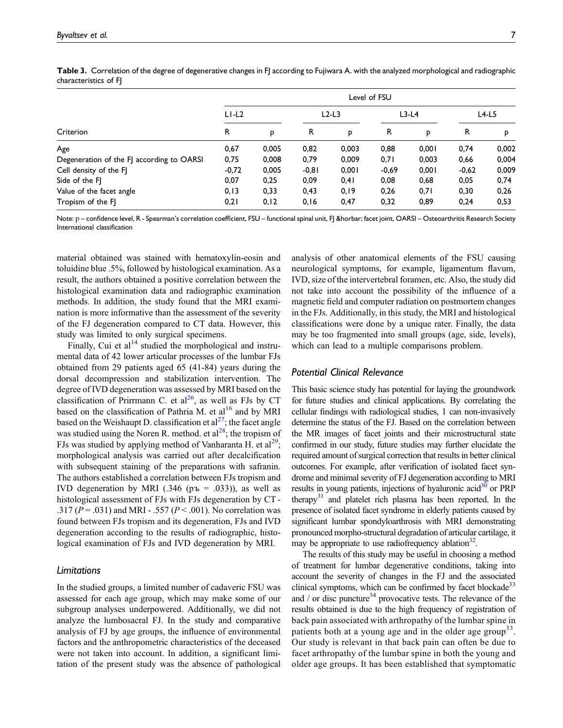|                                           | Level of FSU |       |         |         |         |         |         |         |
|-------------------------------------------|--------------|-------|---------|---------|---------|---------|---------|---------|
|                                           | $L1-L2$      |       |         | $L2-L3$ |         | $L3-L4$ |         | $L4-L5$ |
| Criterion                                 | R            | P     | R       | P       | R       | p       | R       | p       |
| Age                                       | 0,67         | 0.005 | 0,82    | 0.003   | 0,88    | 0.001   | 0,74    | 0,002   |
| Degeneration of the FJ according to OARSI | 0,75         | 0,008 | 0,79    | 0.009   | 0,71    | 0.003   | 0,66    | 0,004   |
| Cell density of the FJ                    | $-0,72$      | 0,005 | $-0,81$ | 0,001   | $-0,69$ | 0,001   | $-0,62$ | 0,009   |
| Side of the FI                            | 0,07         | 0.25  | 0,09    | 0,41    | 0.08    | 0,68    | 0,05    | 0,74    |
| Value of the facet angle                  | 0, 13        | 0,33  | 0,43    | 0,19    | 0,26    | 0,71    | 0,30    | 0,26    |
| Tropism of the FI                         | 0,21         | 0, 12 | 0, 16   | 0,47    | 0,32    | 0,89    | 0,24    | 0,53    |

Table 3. Correlation of the degree of degenerative changes in FJ according to Fujiwara A. with the analyzed morphological and radiographic characteristics of FJ

<span id="page-6-0"></span>Note: p - confidence level, R - Spearman's correlation coefficient, FSU - functional spinal unit, FJ ― facet joint, OARSI - Osteoarthritis Research Society International classification

material obtained was stained with hematoxylin-eosin and toluidine blue .5%, followed by histological examination. As a result, the authors obtained a positive correlation between the histological examination data and radiographic examination methods. In addition, the study found that the MRI examination is more informative than the assessment of the severity of the FJ degeneration compared to CT data. However, this study was limited to only surgical specimens.

Finally, Cui et  $al<sup>14</sup>$  $al<sup>14</sup>$  $al<sup>14</sup>$  studied the morphological and instrumental data of 42 lower articular processes of the lumbar FJs obtained from 29 patients aged 65 (41-84) years during the dorsal decompression and stabilization intervention. The degree of IVD degeneration was assessed by MRI based on the classification of Prirrmann C. et  $al^{26}$  $al^{26}$  $al^{26}$ , as well as FJs by CT based on the classification of Pathria M. et al<sup>16</sup> and by MRI based on the Weishaupt D. classification et  $al^{27}$  $al^{27}$  $al^{27}$ ; the facet angle was studied using the Noren R. method. et al<sup>[28](#page-8-14)</sup>; the tropism of FJs was studied by applying method of Vanharanta H. et  $al^{29}$ ; morphological analysis was carried out after decalcification with subsequent staining of the preparations with safranin. The authors established a correlation between FJs tropism and IVD degeneration by MRI (.346 ( $p$ <sup>B</sup> = .033)), as well as histological assessment of FJs with FJs degeneration by CT - .317 ( $P = .031$ ) and MRI - .557 ( $P < .001$ ). No correlation was found between FJs tropism and its degeneration, FJs and IVD degeneration according to the results of radiographic, histological examination of FJs and IVD degeneration by MRI.

#### Limitations

In the studied groups, a limited number of cadaveric FSU was assessed for each age group, which may make some of our subgroup analyses underpowered. Additionally, we did not analyze the lumbosacral FJ. In the study and comparative analysis of FJ by age groups, the influence of environmental factors and the anthropometric characteristics of the deceased were not taken into account. In addition, a significant limitation of the present study was the absence of pathological

analysis of other anatomical elements of the FSU causing neurological symptoms, for example, ligamentum flavum, IVD, size of the intervertebral foramen, etc. Also, the study did not take into account the possibility of the influence of a magnetic field and computer radiation on postmortem changes in the FJs. Additionally, in this study, the MRI and histological classifications were done by a unique rater. Finally, the data may be too fragmented into small groups (age, side, levels), which can lead to a multiple comparisons problem.

#### Potential Clinical Relevance

This basic science study has potential for laying the groundwork for future studies and clinical applications. By correlating the cellular findings with radiological studies, 1 can non-invasively determine the status of the FJ. Based on the correlation between the MR images of facet joints and their microstructural state confirmed in our study, future studies may further elucidate the required amount of surgical correction that results in better clinical outcomes. For example, after verification of isolated facet syndrome and minimal severity of FJ degeneration according to MRI results in young patients, injections of hyaluronic  $\text{acid}^{30}$  or PRP therapy $31$  and platelet rich plasma has been reported. In the presence of isolated facet syndrome in elderly patients caused by significant lumbar spondyloarthrosis with MRI demonstrating pronounced morpho-structural degradation of articular cartilage, it may be appropriate to use radiofrequency ablation $32$ .

The results of this study may be useful in choosing a method of treatment for lumbar degenerative conditions, taking into account the severity of changes in the FJ and the associated clinical symptoms, which can be confirmed by facet blockade<sup>[33](#page-8-19)</sup> and / or disc puncture<sup>34</sup> provocative tests. The relevance of the results obtained is due to the high frequency of registration of back pain associated with arthropathy of the lumbar spine in patients both at a young age and in the older age group<sup>[33](#page-8-19)</sup>. Our study is relevant in that back pain can often be due to facet arthropathy of the lumbar spine in both the young and older age groups. It has been established that symptomatic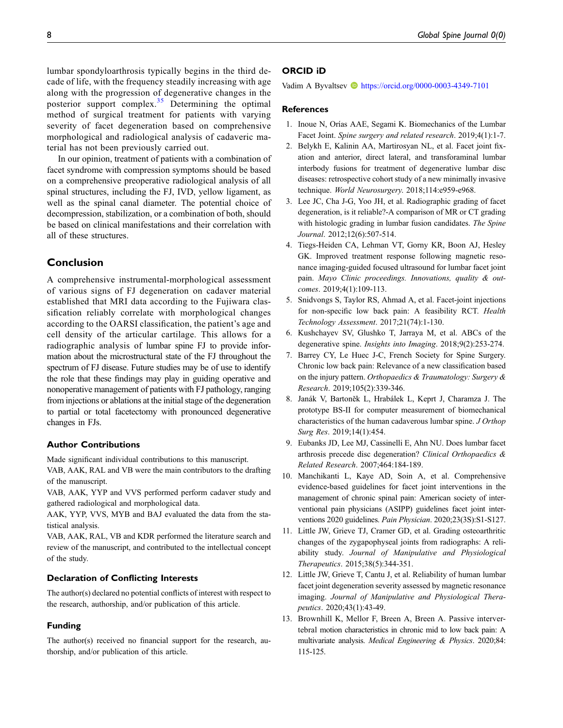lumbar spondyloarthrosis typically begins in the third decade of life, with the frequency steadily increasing with age along with the progression of degenerative changes in the posterior support complex.<sup>[35](#page-8-21)</sup> Determining the optimal method of surgical treatment for patients with varying severity of facet degeneration based on comprehensive morphological and radiological analysis of cadaveric material has not been previously carried out.

In our opinion, treatment of patients with a combination of facet syndrome with compression symptoms should be based on a comprehensive preoperative radiological analysis of all spinal structures, including the FJ, IVD, yellow ligament, as well as the spinal canal diameter. The potential choice of decompression, stabilization, or a combination of both, should be based on clinical manifestations and their correlation with all of these structures.

# Conclusion

A comprehensive instrumental-morphological assessment of various signs of FJ degeneration on cadaver material established that MRI data according to the Fujiwara classification reliably correlate with morphological changes according to the OARSI classification, the patient's age and cell density of the articular cartilage. This allows for a radiographic analysis of lumbar spine FJ to provide information about the microstructural state of the FJ throughout the spectrum of FJ disease. Future studies may be of use to identify the role that these findings may play in guiding operative and nonoperative management of patients with FJ pathology, ranging from injections or ablations at the initial stage of the degeneration to partial or total facetectomy with pronounced degenerative changes in FJs.

#### Author Contributions

Made significant individual contributions to this manuscript.

VAB, AAK, RAL and VB were the main contributors to the drafting of the manuscript.

VAB, AAK, YYP and VVS performed perform cadaver study and gathered radiological and morphological data.

AAK, YYP, VVS, MYB and BAJ evaluated the data from the statistical analysis.

VAB, AAK, RAL, VB and KDR performed the literature search and review of the manuscript, and contributed to the intellectual concept of the study.

## Declaration of Conflicting Interests

The author(s) declared no potential conflicts of interest with respect to the research, authorship, and/or publication of this article.

#### Funding

The author(s) received no financial support for the research, authorship, and/or publication of this article.

#### ORCID iD

Vadim A Byvaltsev **b** <https://orcid.org/0000-0003-4349-7101>

#### References

- <span id="page-7-0"></span>1. Inoue N, Orías AAE, Segami K. Biomechanics of the Lumbar Facet Joint. Spine surgery and related research. 2019;4(1):1-7.
- <span id="page-7-1"></span>2. Belykh E, Kalinin AA, Martirosyan NL, et al. Facet joint fixation and anterior, direct lateral, and transforaminal lumbar interbody fusions for treatment of degenerative lumbar disc diseases: retrospective cohort study of a new minimally invasive technique. World Neurosurgery. 2018;114:e959-e968.
- <span id="page-7-2"></span>3. Lee JC, Cha J-G, Yoo JH, et al. Radiographic grading of facet degeneration, is it reliable?-A comparison of MR or CT grading with histologic grading in lumbar fusion candidates. The Spine Journal. 2012;12(6):507-514.
- <span id="page-7-3"></span>4. Tiegs-Heiden CA, Lehman VT, Gorny KR, Boon AJ, Hesley GK. Improved treatment response following magnetic resonance imaging-guided focused ultrasound for lumbar facet joint pain. Mayo Clinic proceedings. Innovations, quality & outcomes. 2019;4(1):109-113.
- <span id="page-7-4"></span>5. Snidvongs S, Taylor RS, Ahmad A, et al. Facet-joint injections for non-specific low back pain: A feasibility RCT. Health Technology Assessment. 2017;21(74):1-130.
- <span id="page-7-5"></span>6. Kushchayev SV, Glushko T, Jarraya M, et al. ABCs of the degenerative spine. Insights into Imaging. 2018;9(2):253-274.
- 7. Barrey CY, Le Huec J-C, French Society for Spine Surgery. Chronic low back pain: Relevance of a new classification based on the injury pattern. Orthopaedics & Traumatology: Surgery & Research. 2019;105(2):339-346.
- <span id="page-7-6"></span>8. Janák V, Bartoněk L, Hrabálek L, Keprt J, Charamza J. The prototype BS-II for computer measurement of biomechanical characteristics of the human cadaverous lumbar spine. J Orthop Surg Res. 2019;14(1):454.
- <span id="page-7-7"></span>9. Eubanks JD, Lee MJ, Cassinelli E, Ahn NU. Does lumbar facet arthrosis precede disc degeneration? Clinical Orthopaedics & Related Research. 2007;464:184-189.
- <span id="page-7-8"></span>10. Manchikanti L, Kaye AD, Soin A, et al. Comprehensive evidence-based guidelines for facet joint interventions in the management of chronic spinal pain: American society of interventional pain physicians (ASIPP) guidelines facet joint interventions 2020 guidelines. Pain Physician. 2020;23(3S):S1-S127.
- <span id="page-7-9"></span>11. Little JW, Grieve TJ, Cramer GD, et al. Grading osteoarthritic changes of the zygapophyseal joints from radiographs: A reliability study. Journal of Manipulative and Physiological Therapeutics. 2015;38(5):344-351.
- <span id="page-7-10"></span>12. Little JW, Grieve T, Cantu J, et al. Reliability of human lumbar facet joint degeneration severity assessed by magnetic resonance imaging. Journal of Manipulative and Physiological Therapeutics. 2020;43(1):43-49.
- <span id="page-7-11"></span>13. Brownhill K, Mellor F, Breen A, Breen A. Passive intervertebral motion characteristics in chronic mid to low back pain: A multivariate analysis. Medical Engineering & Physics. 2020;84: 115-125.